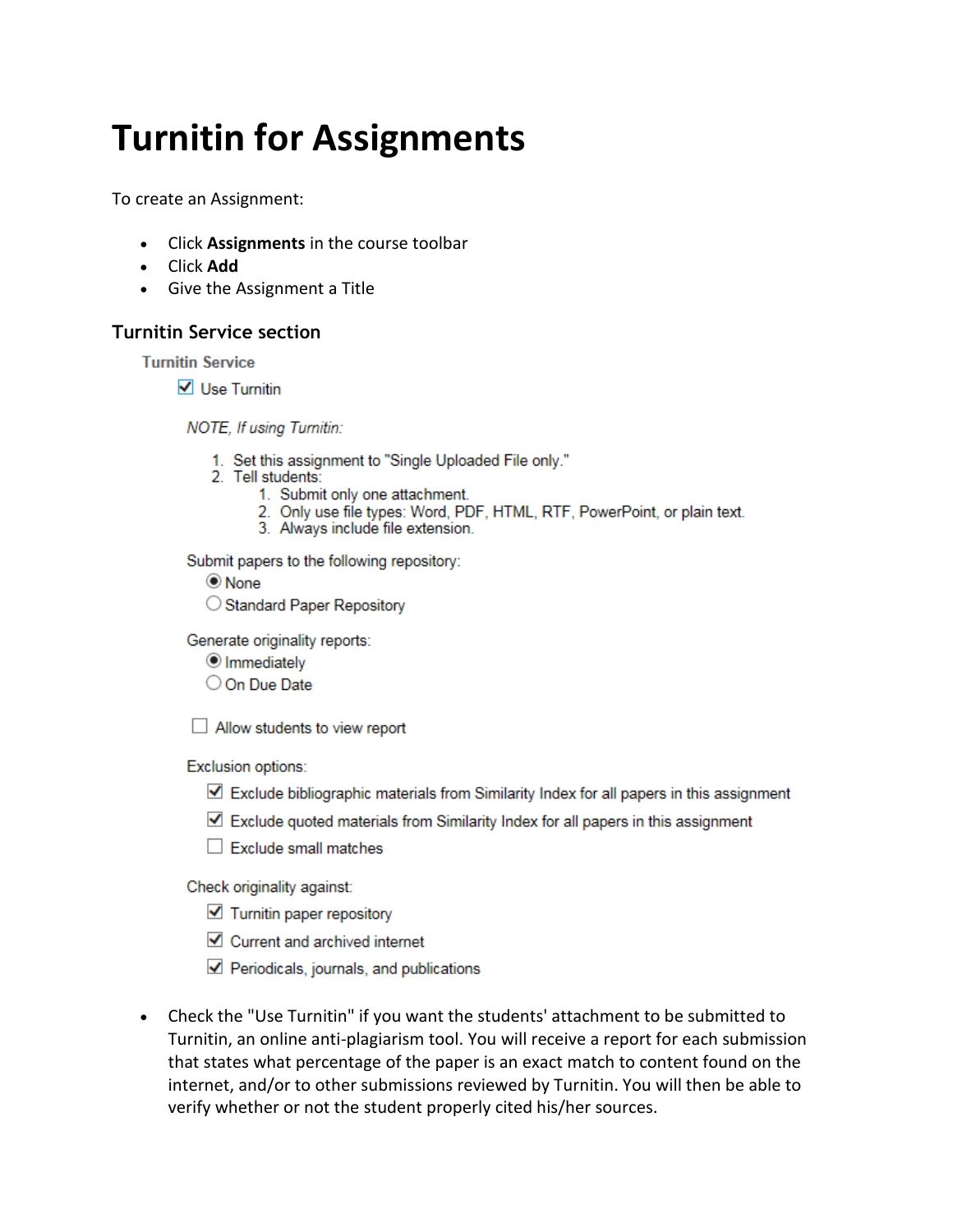## **Turnitin for Assignments**

To create an Assignment:

- Click Assignments in the course toolbar  $\bullet$
- Click Add
- Give the Assignment a Title

## **Turnitin Service section**

**Turnitin Service** 

 $\sqrt{\phantom{a}}$  Use Turnitin

NOTE, If using Turnitin:

- 1. Set this assignment to "Single Uploaded File only."
- 2. Tell students:
	- 1. Submit only one attachment.
	- 2. Only use file types: Word, PDF, HTML, RTF, PowerPoint, or plain text.
	- 3. Always include file extension.

Submit papers to the following repository:

- $\circledcirc$  None
- ◯ Standard Paper Repository

Generate originality reports:

- <sup>●</sup> Immediately
- O On Due Date

 $\Box$  Allow students to view report

Exclusion options:

- ∐ Exclude bibliographic materials from Similarity Index for all papers in this assignment
- $\triangledown$  Exclude quoted materials from Similarity Index for all papers in this assignment
- $\Box$  Exclude small matches

Check originality against:

- $\blacktriangleright$  Turnitin paper repository
- Current and archived internet
- $\blacktriangleright$  Periodicals, journals, and publications
- Check the "Use Turnitin" if you want the students' attachment to be submitted to Turnitin, an online anti-plagiarism tool. You will receive a report for each submission that states what percentage of the paper is an exact match to content found on the internet, and/or to other submissions reviewed by Turnitin. You will then be able to verify whether or not the student properly cited his/her sources.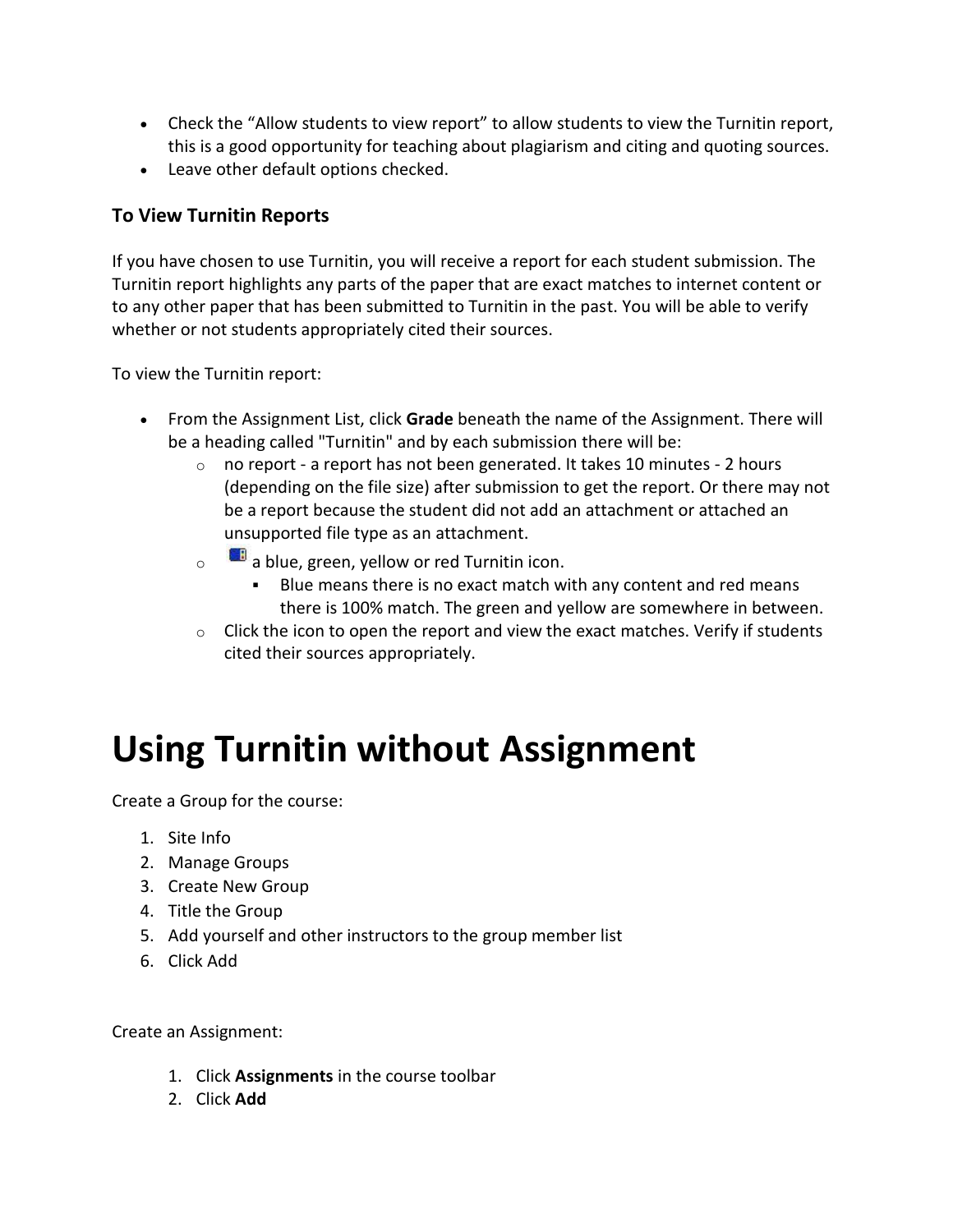- Check the "Allow students to view report" to allow students to view the Turnitin report, this is a good opportunity for teaching about plagiarism and citing and quoting sources.
- Leave other default options checked.

## **To View Turnitin Reports**

If you have chosen to use Turnitin, you will receive a report for each student submission. The Turnitin report highlights any parts of the paper that are exact matches to internet content or to any other paper that has been submitted to Turnitin in the past. You will be able to verify whether or not students appropriately cited their sources.

To view the Turnitin report:

- From the Assignment List, click **Grade** beneath the name of the Assignment. There will be a heading called "Turnitin" and by each submission there will be:
	- $\circ$  no report a report has not been generated. It takes 10 minutes 2 hours (depending on the file size) after submission to get the report. Or there may not be a report because the student did not add an attachment or attached an unsupported file type as an attachment.
	- $\circ$  a blue, green, yellow or red Turnitin icon.
		- Blue means there is no exact match with any content and red means there is 100% match. The green and yellow are somewhere in between.
	- $\circ$  Click the icon to open the report and view the exact matches. Verify if students cited their sources appropriately.

## **Using Turnitin without Assignment**

Create a Group for the course:

- 1. Site Info
- 2. Manage Groups
- 3. Create New Group
- 4. Title the Group
- 5. Add yourself and other instructors to the group member list
- 6. Click Add

Create an Assignment:

- 1. Click **Assignments** in the course toolbar
- 2. Click **Add**